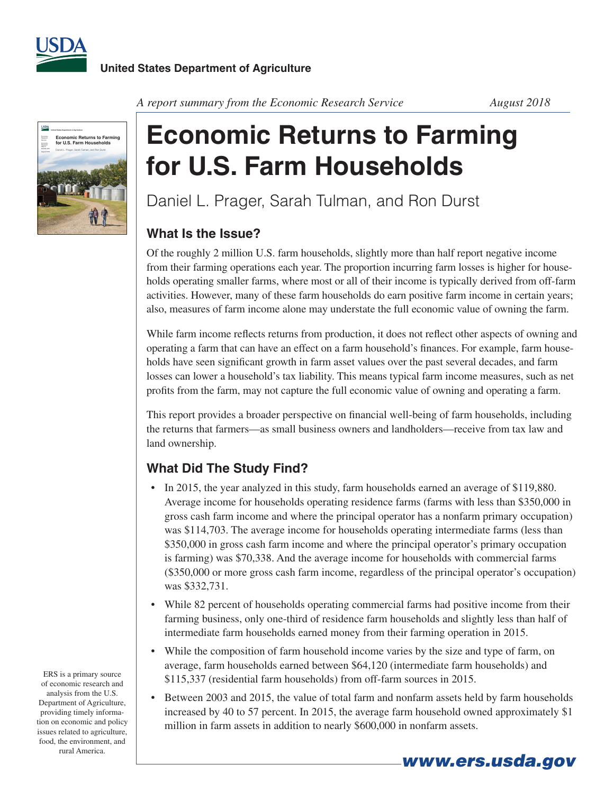



*A report summary from the Economic Research Service August 2018*

# **Economic Returns to Farming for U.S. Farm Households**

Daniel L. Prager, Sarah Tulman, and Ron Durst

## **What Is the Issue?**

Of the roughly 2 million U.S. farm households, slightly more than half report negative income from their farming operations each year. The proportion incurring farm losses is higher for households operating smaller farms, where most or all of their income is typically derived from off-farm activities. However, many of these farm households do earn positive farm income in certain years; also, measures of farm income alone may understate the full economic value of owning the farm.

While farm income reflects returns from production, it does not reflect other aspects of owning and operating a farm that can have an effect on a farm household's finances. For example, farm households have seen significant growth in farm asset values over the past several decades, and farm losses can lower a household's tax liability. This means typical farm income measures, such as net profits from the farm, may not capture the full economic value of owning and operating a farm.

This report provides a broader perspective on financial well-being of farm households, including the returns that farmers—as small business owners and landholders—receive from tax law and land ownership.

### **What Did The Study Find?**

- In 2015, the year analyzed in this study, farm households earned an average of \$119,880. Average income for households operating residence farms (farms with less than \$350,000 in gross cash farm income and where the principal operator has a nonfarm primary occupation) was \$114,703. The average income for households operating intermediate farms (less than \$350,000 in gross cash farm income and where the principal operator's primary occupation is farming) was \$70,338. And the average income for households with commercial farms (\$350,000 or more gross cash farm income, regardless of the principal operator's occupation) was \$332,731.
- While 82 percent of households operating commercial farms had positive income from their farming business, only one-third of residence farm households and slightly less than half of intermediate farm households earned money from their farming operation in 2015.
- While the composition of farm household income varies by the size and type of farm, on average, farm households earned between \$64,120 (intermediate farm households) and \$115,337 (residential farm households) from off-farm sources in 2015.
- Between 2003 and 2015, the value of total farm and nonfarm assets held by farm households increased by 40 to 57 percent. In 2015, the average farm household owned approximately \$1 million in farm assets in addition to nearly \$600,000 in nonfarm assets.

*www.ers.usda.gov*

ERS is a primary source of economic research and analysis from the U.S. Department of Agriculture, providing timely information on economic and policy issues related to agriculture, food, the environment, and rural America.